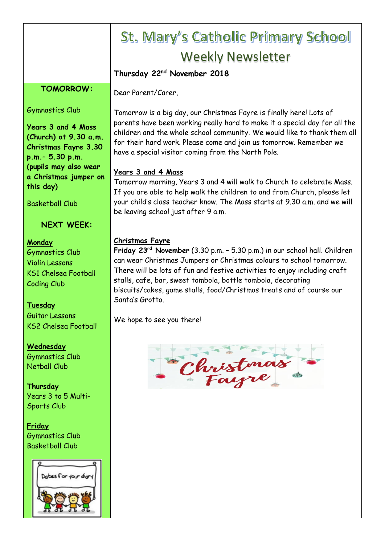|                                                                                                                                             | <b>St. Mary's Catholic Primary School</b>                                                                                                                                                                                                                                                                                                                                                                                      |
|---------------------------------------------------------------------------------------------------------------------------------------------|--------------------------------------------------------------------------------------------------------------------------------------------------------------------------------------------------------------------------------------------------------------------------------------------------------------------------------------------------------------------------------------------------------------------------------|
|                                                                                                                                             | <b>Weekly Newsletter</b>                                                                                                                                                                                                                                                                                                                                                                                                       |
|                                                                                                                                             | Thursday 22 <sup>nd</sup> November 2018                                                                                                                                                                                                                                                                                                                                                                                        |
| <b>TOMORROW:</b>                                                                                                                            | Dear Parent/Carer,                                                                                                                                                                                                                                                                                                                                                                                                             |
| <b>Gymnastics Club</b><br><b>Years 3 and 4 Mass</b><br>(Church) at 9.30 a.m.<br><b>Christmas Fayre 3.30</b><br>p.m. - 5.30 p.m.             | Tomorrow is a big day, our Christmas Fayre is finally here! Lots of<br>parents have been working really hard to make it a special day for all the<br>children and the whole school community. We would like to thank them all<br>for their hard work. Please come and join us tomorrow. Remember we<br>have a special visitor coming from the North Pole.                                                                      |
| (pupils may also wear<br>a Christmas jumper on<br>this day)<br><b>Basketball Club</b>                                                       | <b>Years 3 and 4 Mass</b><br>Tomorrow morning, Years 3 and 4 will walk to Church to celebrate Mass.<br>If you are able to help walk the children to and from Church, please let<br>your child's class teacher know. The Mass starts at 9.30 a.m. and we will<br>be leaving school just after 9 a.m.                                                                                                                            |
| <b>NEXT WEEK:</b>                                                                                                                           |                                                                                                                                                                                                                                                                                                                                                                                                                                |
| Monday<br><b>Gymnastics Club</b><br><b>Violin Lessons</b><br><b>KS1 Chelsea Football</b><br><b>Coding Club</b><br>Tuesday<br>Guitar Lessons | <b>Christmas Fayre</b><br>Friday 23 <sup>rd</sup> November (3.30 p.m. - 5.30 p.m.) in our school hall. Children<br>can wear Christmas Jumpers or Christmas colours to school tomorrow.<br>There will be lots of fun and festive activities to enjoy including craft<br>stalls, cafe, bar, sweet tombola, bottle tombola, decorating<br>biscuits/cakes, game stalls, food/Christmas treats and of course our<br>Santa's Grotto. |
| <b>KS2 Chelsea Football</b>                                                                                                                 | We hope to see you there!                                                                                                                                                                                                                                                                                                                                                                                                      |
| Wednesday<br><b>Gymnastics Club</b><br><b>Netball Club</b><br>Thursday<br>Years 3 to 5 Multi-<br>Sports Club                                | Christmas                                                                                                                                                                                                                                                                                                                                                                                                                      |
| <b>Friday</b><br><b>Gymnastics Club</b><br><b>Basketball Club</b>                                                                           |                                                                                                                                                                                                                                                                                                                                                                                                                                |
| Dates for your diary                                                                                                                        |                                                                                                                                                                                                                                                                                                                                                                                                                                |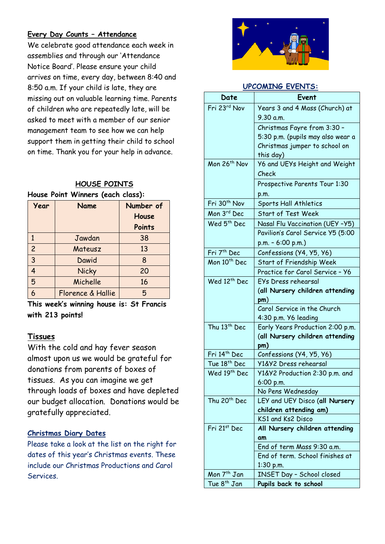#### **Every Day Counts – Attendance**

We celebrate good attendance each week in assemblies and through our 'Attendance Notice Board'. Please ensure your child arrives on time, every day, between 8:40 and 8:50 a.m. If your child is late, they are missing out on valuable learning time. Parents of children who are repeatedly late, will be asked to meet with a member of our senior management team to see how we can help support them in getting their child to school on time. Thank you for your help in advance.

#### **HOUSE POINTS House Point Winners (each class):**

| Year           | Name              | Number of |
|----------------|-------------------|-----------|
|                |                   | House     |
|                |                   | Points    |
| 1              | Jawdan            | 38        |
| $\overline{c}$ | Mateusz           | 13        |
| $\overline{3}$ | Dawid             | 8         |
| 4              | <b>Nicky</b>      | 20        |
| 5              | Michelle          | 16        |
|                | Florence & Hallie | 5         |

**This week's winning house is: St Francis with 213 points!**

#### **Tissues**

With the cold and hay fever season almost upon us we would be grateful for donations from parents of boxes of tissues. As you can imagine we get through loads of boxes and have depleted our budget allocation. Donations would be gratefully appreciated.

#### **Christmas Diary Dates**

Please take a look at the list on the right for dates of this year's Christmas events. These include our Christmas Productions and Carol Services.



#### **UPCOMING EVENTS:**

| Date                     | Event                                             |
|--------------------------|---------------------------------------------------|
| Fri 23rd Nov             | Years 3 and 4 Mass (Church) at                    |
|                          | 9.30 a.m.                                         |
|                          | Christmas Fayre from 3:30 -                       |
|                          | 5:30 p.m. (pupils may also wear a                 |
|                          | Christmas jumper to school on                     |
|                          | this day)                                         |
| Mon 26 <sup>th</sup> Nov | Y6 and UEYs Height and Weight                     |
|                          | Check                                             |
|                          | Prospective Parents Tour 1:30                     |
|                          | p.m.                                              |
| Fri 30 <sup>th</sup> Nov | Sports Hall Athletics                             |
| Mon 3rd Dec              | <b>Start of Test Week</b>                         |
| Wed 5 <sup>th</sup> Dec  | Nasal Flu Vaccination (UEY -Y5)                   |
|                          | Pavilion's Carol Service Y5 (5:00                 |
|                          | $p.m. - 6:00 p.m.$                                |
| Fri 7 <sup>th</sup> Dec  | Confessions (Y4, Y5, Y6)                          |
| Mon 10 <sup>th</sup> Dec | Start of Friendship Week                          |
|                          | Practice for Carol Service - Y6                   |
| Wed 12 <sup>th</sup> Dec | EYs Dress rehearsal                               |
|                          | (all Nursery children attending                   |
|                          | pm)                                               |
|                          | Carol Service in the Church                       |
|                          | 4:30 p.m. Y6 leading                              |
| Thu 13th Dec             | Early Years Production 2:00 p.m.                  |
|                          | (all Nursery children attending                   |
| Fri 14th Dec             | pm)                                               |
| Tue 18 <sup>th</sup> Dec | Confessions (Y4, Y5, Y6)<br>Y1&Y2 Dress rehearsal |
| Wed 19th Dec             | Y1&Y2 Production 2:30 p.m. and                    |
|                          | 6:00 p.m.                                         |
|                          | No Pens Wednesday                                 |
| Thu 20 <sup>th</sup> Dec | LEY and UEY Disco (all Nursery                    |
|                          | children attending am)                            |
|                          | KS1 and Ks2 Disco                                 |
| Fri 21st Dec             | All Nursery children attending                    |
|                          | am                                                |
|                          | End of term Mass 9:30 a.m.                        |
|                          | End of term. School finishes at                   |
|                          | $1:30$ p.m.                                       |
| Mon 7 <sup>th</sup> Jan  | INSET Day - School closed                         |
| Tue 8 <sup>th</sup> Jan  | Pupils back to school                             |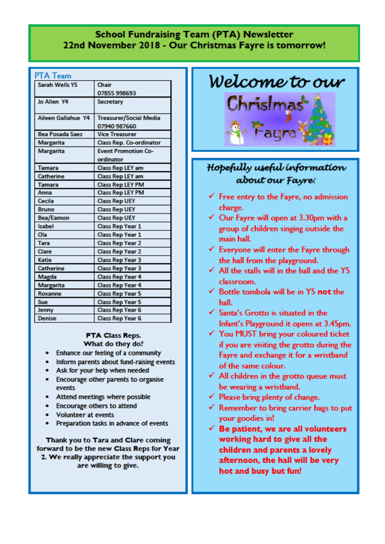#### **School Fundraising Team (PTA) Newsletter** 22nd November 2018 - Our Christmas Fayre is tomorrow!

#### **PTA Team**

| <b>Sarah Wells Y5</b>  | Chair                          |
|------------------------|--------------------------------|
|                        | 07855 998693                   |
| Jo Allen Y4            | <b>Secretary</b>               |
|                        |                                |
| Aileen Gallahue Y4     | <b>Treasurer/Social Media</b>  |
|                        | 07940 987660                   |
| <b>Bea Posada Saez</b> | <b>Vice Treasurer</b>          |
| <b>Margarita</b>       | <b>Class Rep. Co-ordinator</b> |
| <b>Margarita</b>       | <b>Event Promotion Co-</b>     |
|                        | ordinator                      |
| <b>Tamara</b>          | <b>Class Rep LEY am</b>        |
| <b>Catherine</b>       | <b>Class Rep LEY am</b>        |
| <b>Tamara</b>          | <b>Class Rep LEY PM</b>        |
| Anna                   | <b>Class Rep LEY PM</b>        |
| Cecila                 | <b>Class Rep UEY</b>           |
| <b>Bruno</b>           | <b>Class Rep UEY</b>           |
| <b>Bea/Eamon</b>       | <b>Class Rep UEY</b>           |
| Isabel                 | Class Rep Year 1               |
| Ola                    | <b>Class Rep Year 1</b>        |
| <b>Tara</b>            | <b>Class Rep Year 2</b>        |
| Clare                  | <b>Class Rep Year 2</b>        |
| Katie                  | <b>Class Rep Year 3</b>        |
| <b>Catherine</b>       | <b>Class Rep Year 3</b>        |
| <b>Magda</b>           | <b>Class Rep Year 4</b>        |
| <b>Margarita</b>       | <b>Class Rep Year 4</b>        |
| Roxanne                | <b>Class Rep Year 5</b>        |
| Sue                    | <b>Class Rep Year 5</b>        |
| <b>Jenny</b>           | <b>Class Rep Year 6</b>        |
| <b>Denise</b>          | <b>Class Rep Year 6</b>        |

#### **PTA Class Reps.** What do they do?

- Enhance our feeling of a community
- Inform parents about fund-raising events
- Ask for your help when needed
- Encourage other parents to organise events
- Attend meetings where possible
- Encourage others to attend
- **Volunteer at events**
- Preparation tasks in advance of events

Thank you to Tara and Clare coming forward to be the new Class Reps for Year 2. We really appreciate the support you are willing to give.



### Hopefully useful information about our Fayre:

- $\checkmark$  Free entry to the Fayre, no admission charge.
- $\checkmark$  Our Fayre will open at 3.30pm with a group of children singing outside the main hall.
- $\checkmark$  Everyone will enter the Fayre through the hall from the playground.
- $\checkmark$  All the stalls will in the hall and the Y5 classroom.
- $\checkmark$  Bottle tombola will be in Y5 not the hall
- √ Santa's Grotto is situated in the Infant's Playground it opens at 3.45pm.
- √ You MUST bring your coloured ticket if you are visiting the grotto during the Fayre and exchange it for a wristband of the same colour.
- $\checkmark$  All children in the grotto queue must be wearing a wristband.
- $\checkmark$  Please bring plenty of change.
- $\checkmark$  Remember to bring carrier bags to put your goodies in!
- $\checkmark$  Be patient, we are all volunteers working hard to give all the children and parents a lovely afternoon, the hall will be very hot and busy but fun!